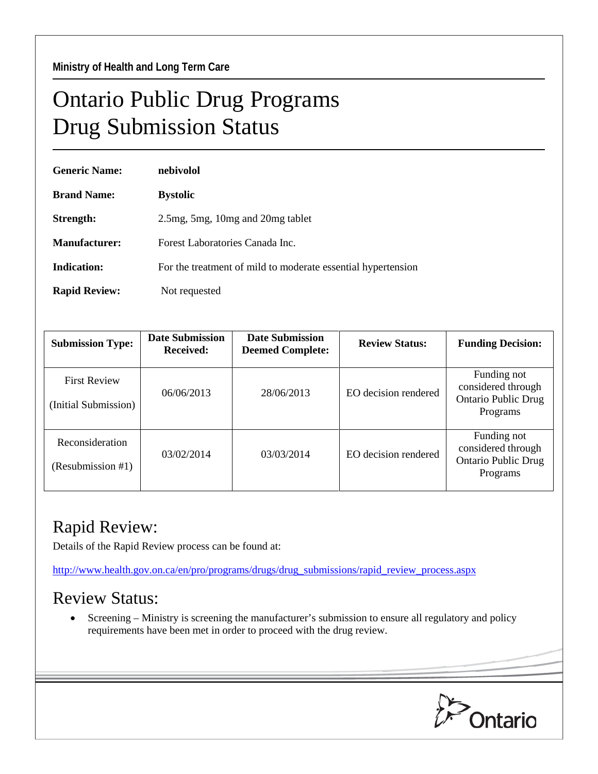## Ontario Public Drug Programs Drug Submission Status

| <b>Generic Name:</b> | nebivolol                                                    |  |  |
|----------------------|--------------------------------------------------------------|--|--|
| <b>Brand Name:</b>   | <b>Bystolic</b>                                              |  |  |
| Strength:            | 2.5 mg, 5 mg, 10 mg and 20 mg tablet                         |  |  |
| Manufacturer:        | Forest Laboratories Canada Inc.                              |  |  |
| Indication:          | For the treatment of mild to moderate essential hypertension |  |  |
| <b>Rapid Review:</b> | Not requested                                                |  |  |

| <b>Submission Type:</b>                     | <b>Date Submission</b><br><b>Received:</b> | <b>Date Submission</b><br><b>Deemed Complete:</b> | <b>Review Status:</b> | <b>Funding Decision:</b>                                                    |
|---------------------------------------------|--------------------------------------------|---------------------------------------------------|-----------------------|-----------------------------------------------------------------------------|
| <b>First Review</b><br>(Initial Submission) | 06/06/2013                                 | 28/06/2013                                        | EO decision rendered  | Funding not<br>considered through<br><b>Ontario Public Drug</b><br>Programs |
| Reconsideration<br>(Resubmission #1)        | 03/02/2014                                 | 03/03/2014                                        | EO decision rendered  | Funding not<br>considered through<br><b>Ontario Public Drug</b><br>Programs |

## Rapid Review:

Details of the Rapid Review process can be found at:

[http://www.health.gov.on.ca/en/pro/programs/drugs/drug\\_submissions/rapid\\_review\\_process.aspx](http://www.health.gov.on.ca/en/pro/programs/drugs/drug_submissions/rapid_review_process.aspx)

## Review Status:

• Screening – Ministry is screening the manufacturer's submission to ensure all regulatory and policy requirements have been met in order to proceed with the drug review.